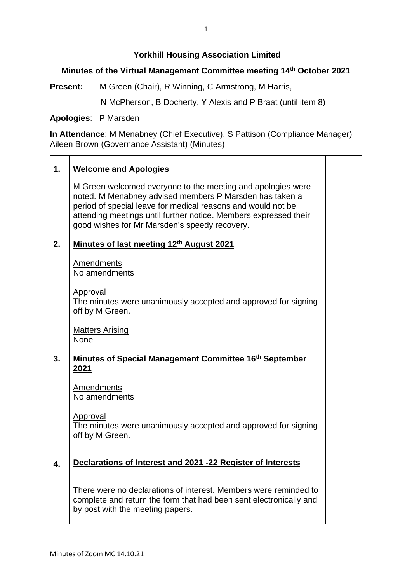# **Yorkhill Housing Association Limited**

# **Minutes of the Virtual Management Committee meeting 14 th October 2021**

**Present:** M Green (Chair), R Winning, C Armstrong, M Harris,

N McPherson, B Docherty, Y Alexis and P Braat (until item 8)

**Apologies**: P Marsden

**In Attendance**: M Menabney (Chief Executive), S Pattison (Compliance Manager) Aileen Brown (Governance Assistant) (Minutes)

# **1. Welcome and Apologies**

M Green welcomed everyone to the meeting and apologies were noted. M Menabney advised members P Marsden has taken a period of special leave for medical reasons and would not be attending meetings until further notice. Members expressed their good wishes for Mr Marsden's speedy recovery.

#### **2. Minutes of last meeting 12th August 2021**

Amendments No amendments

Approval

The minutes were unanimously accepted and approved for signing off by M Green.

Matters Arising **None** 

### **3. Minutes of Special Management Committee 16th September 2021**

Amendments No amendments

Approval

The minutes were unanimously accepted and approved for signing off by M Green.

### **4. Declarations of Interest and 2021 -22 Register of Interests**

There were no declarations of interest. Members were reminded to complete and return the form that had been sent electronically and by post with the meeting papers.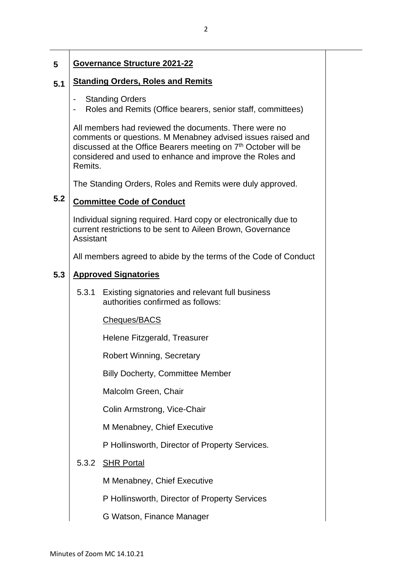### **5 Governance Structure 2021-22**

#### **5.1 Standing Orders, Roles and Remits**

- **Standing Orders**
- Roles and Remits (Office bearers, senior staff, committees)

All members had reviewed the documents. There were no comments or questions. M Menabney advised issues raised and discussed at the Office Bearers meeting on  $7<sup>th</sup>$  October will be considered and used to enhance and improve the Roles and Remits.

The Standing Orders, Roles and Remits were duly approved.

### **5.2 Committee Code of Conduct**

Individual signing required. Hard copy or electronically due to current restrictions to be sent to Aileen Brown, Governance Assistant

All members agreed to abide by the terms of the Code of Conduct

#### **5.3 Approved Signatories**

5.3.1 Existing signatories and relevant full business authorities confirmed as follows:

### Cheques/BACS

Helene Fitzgerald, Treasurer

Robert Winning, Secretary

Billy Docherty, Committee Member

Malcolm Green, Chair

Colin Armstrong, Vice-Chair

M Menabney, Chief Executive

P Hollinsworth, Director of Property Services.

## 5.3.2 SHR Portal

M Menabney, Chief Executive

P Hollinsworth, Director of Property Services

G Watson, Finance Manager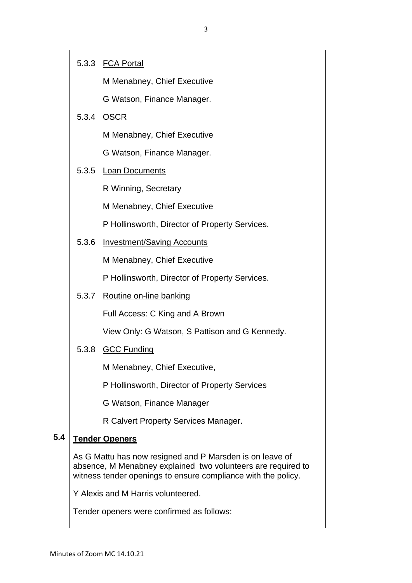# 5.3.3 FCA Portal

M Menabney, Chief Executive

G Watson, Finance Manager.

# 5.3.4 OSCR

M Menabney, Chief Executive

G Watson, Finance Manager.

# 5.3.5 Loan Documents

R Winning, Secretary

M Menabney, Chief Executive

P Hollinsworth, Director of Property Services.

5.3.6 Investment/Saving Accounts

M Menabney, Chief Executive

P Hollinsworth, Director of Property Services.

5.3.7 Routine on-line banking

Full Access: C King and A Brown

View Only: G Watson, S Pattison and G Kennedy.

# 5.3.8 GCC Funding

M Menabney, Chief Executive,

P Hollinsworth, Director of Property Services

G Watson, Finance Manager

R Calvert Property Services Manager.

### **5.4 Tender Openers**

As G Mattu has now resigned and P Marsden is on leave of absence, M Menabney explained two volunteers are required to witness tender openings to ensure compliance with the policy.

Y Alexis and M Harris volunteered.

Tender openers were confirmed as follows: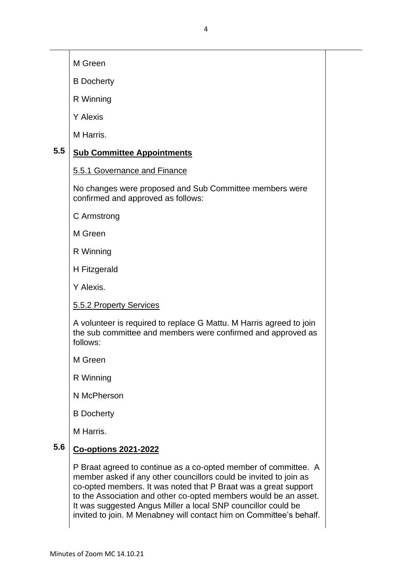M Green

B Docherty

R Winning

Y Alexis

M Harris.

### **5.5 Sub Committee Appointments**

5.5.1 Governance and Finance

No changes were proposed and Sub Committee members were confirmed and approved as follows:

C Armstrong

M Green

R Winning

H Fitzgerald

Y Alexis.

5.5.2 Property Services

A volunteer is required to replace G Mattu. M Harris agreed to join the sub committee and members were confirmed and approved as follows:

M Green

R Winning

N McPherson

B Docherty

M Harris.

### **5.6 Co-options 2021-2022**

P Braat agreed to continue as a co-opted member of committee. A member asked if any other councillors could be invited to join as co-opted members. It was noted that P Braat was a great support to the Association and other co-opted members would be an asset. It was suggested Angus Miller a local SNP councillor could be invited to join. M Menabney will contact him on Committee's behalf.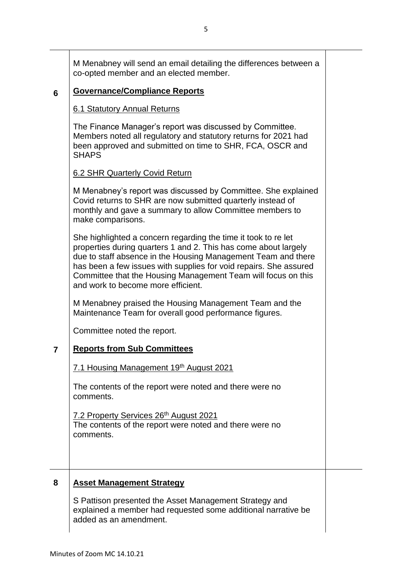M Menabney will send an email detailing the differences between a co-opted member and an elected member.

### **6 Governance/Compliance Reports**

# 6.1 Statutory Annual Returns

The Finance Manager's report was discussed by Committee. Members noted all regulatory and statutory returns for 2021 had been approved and submitted on time to SHR, FCA, OSCR and **SHAPS** 

# 6.2 SHR Quarterly Covid Return

M Menabney's report was discussed by Committee. She explained Covid returns to SHR are now submitted quarterly instead of monthly and gave a summary to allow Committee members to make comparisons.

She highlighted a concern regarding the time it took to re let properties during quarters 1 and 2. This has come about largely due to staff absence in the Housing Management Team and there has been a few issues with supplies for void repairs. She assured Committee that the Housing Management Team will focus on this and work to become more efficient.

M Menabney praised the Housing Management Team and the Maintenance Team for overall good performance figures.

Committee noted the report.

# **7 Reports from Sub Committees**

7.1 Housing Management 19th August 2021

The contents of the report were noted and there were no comments.

7.2 Property Services 26<sup>th</sup> August 2021 The contents of the report were noted and there were no comments.

# **8 Asset Management Strategy**

S Pattison presented the Asset Management Strategy and explained a member had requested some additional narrative be added as an amendment.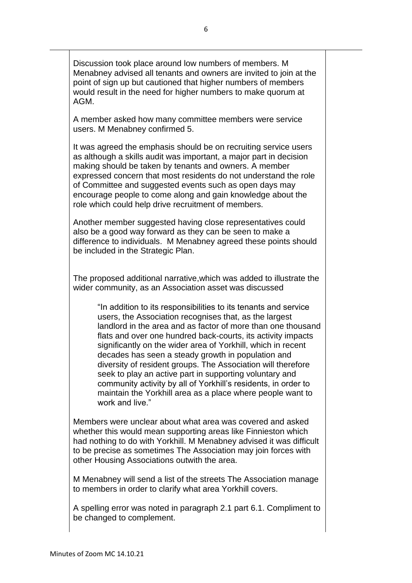Discussion took place around low numbers of members. M Menabney advised all tenants and owners are invited to join at the point of sign up but cautioned that higher numbers of members would result in the need for higher numbers to make quorum at AGM.

A member asked how many committee members were service users. M Menabney confirmed 5.

It was agreed the emphasis should be on recruiting service users as although a skills audit was important, a major part in decision making should be taken by tenants and owners. A member expressed concern that most residents do not understand the role of Committee and suggested events such as open days may encourage people to come along and gain knowledge about the role which could help drive recruitment of members.

Another member suggested having close representatives could also be a good way forward as they can be seen to make a difference to individuals. M Menabney agreed these points should be included in the Strategic Plan.

The proposed additional narrative,which was added to illustrate the wider community, as an Association asset was discussed

"In addition to its responsibilities to its tenants and service users, the Association recognises that, as the largest landlord in the area and as factor of more than one thousand flats and over one hundred back-courts, its activity impacts significantly on the wider area of Yorkhill, which in recent decades has seen a steady growth in population and diversity of resident groups. The Association will therefore seek to play an active part in supporting voluntary and community activity by all of Yorkhill's residents, in order to maintain the Yorkhill area as a place where people want to work and live."

Members were unclear about what area was covered and asked whether this would mean supporting areas like Finnieston which had nothing to do with Yorkhill. M Menabney advised it was difficult to be precise as sometimes The Association may join forces with other Housing Associations outwith the area.

M Menabney will send a list of the streets The Association manage to members in order to clarify what area Yorkhill covers.

A spelling error was noted in paragraph 2.1 part 6.1. Compliment to be changed to complement.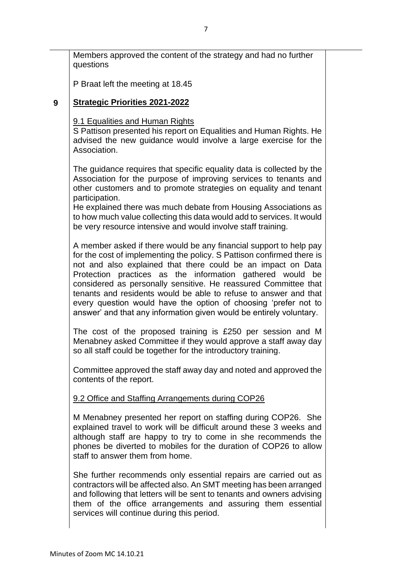Members approved the content of the strategy and had no further questions

P Braat left the meeting at 18.45

# **9 Strategic Priorities 2021-2022**

9.1 Equalities and Human Rights

S Pattison presented his report on Equalities and Human Rights. He advised the new guidance would involve a large exercise for the Association.

The guidance requires that specific equality data is collected by the Association for the purpose of improving services to tenants and other customers and to promote strategies on equality and tenant participation.

He explained there was much debate from Housing Associations as to how much value collecting this data would add to services. It would be very resource intensive and would involve staff training.

A member asked if there would be any financial support to help pay for the cost of implementing the policy. S Pattison confirmed there is not and also explained that there could be an impact on Data Protection practices as the information gathered would be considered as personally sensitive. He reassured Committee that tenants and residents would be able to refuse to answer and that every question would have the option of choosing 'prefer not to answer' and that any information given would be entirely voluntary.

The cost of the proposed training is £250 per session and M Menabney asked Committee if they would approve a staff away day so all staff could be together for the introductory training.

Committee approved the staff away day and noted and approved the contents of the report.

# 9.2 Office and Staffing Arrangements during COP26

M Menabney presented her report on staffing during COP26. She explained travel to work will be difficult around these 3 weeks and although staff are happy to try to come in she recommends the phones be diverted to mobiles for the duration of COP26 to allow staff to answer them from home.

She further recommends only essential repairs are carried out as contractors will be affected also. An SMT meeting has been arranged and following that letters will be sent to tenants and owners advising them of the office arrangements and assuring them essential services will continue during this period.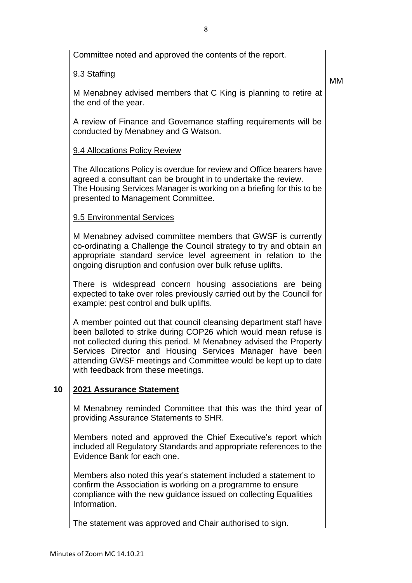|    | Committee noted and approved the contents of the report.                                                                                                                                                                                                                                                                                                                      |    |
|----|-------------------------------------------------------------------------------------------------------------------------------------------------------------------------------------------------------------------------------------------------------------------------------------------------------------------------------------------------------------------------------|----|
|    | 9.3 Staffing                                                                                                                                                                                                                                                                                                                                                                  | МM |
|    | M Menabney advised members that C King is planning to retire at<br>the end of the year.                                                                                                                                                                                                                                                                                       |    |
|    | A review of Finance and Governance staffing requirements will be<br>conducted by Menabney and G Watson.                                                                                                                                                                                                                                                                       |    |
|    | 9.4 Allocations Policy Review                                                                                                                                                                                                                                                                                                                                                 |    |
|    | The Allocations Policy is overdue for review and Office bearers have<br>agreed a consultant can be brought in to undertake the review.<br>The Housing Services Manager is working on a briefing for this to be<br>presented to Management Committee.                                                                                                                          |    |
|    | 9.5 Environmental Services                                                                                                                                                                                                                                                                                                                                                    |    |
|    | M Menabney advised committee members that GWSF is currently<br>co-ordinating a Challenge the Council strategy to try and obtain an<br>appropriate standard service level agreement in relation to the<br>ongoing disruption and confusion over bulk refuse uplifts.                                                                                                           |    |
|    | There is widespread concern housing associations are being<br>expected to take over roles previously carried out by the Council for<br>example: pest control and bulk uplifts.                                                                                                                                                                                                |    |
|    | A member pointed out that council cleansing department staff have<br>been balloted to strike during COP26 which would mean refuse is<br>not collected during this period. M Menabney advised the Property<br>Services Director and Housing Services Manager have been<br>attending GWSF meetings and Committee would be kept up to date<br>with feedback from these meetings. |    |
| 10 | 2021 Assurance Statement                                                                                                                                                                                                                                                                                                                                                      |    |
|    | M Menabney reminded Committee that this was the third year of<br>providing Assurance Statements to SHR.                                                                                                                                                                                                                                                                       |    |
|    | Members noted and approved the Chief Executive's report which<br>included all Regulatory Standards and appropriate references to the<br>Evidence Bank for each one.                                                                                                                                                                                                           |    |
|    | Members also noted this year's statement included a statement to<br>confirm the Association is working on a programme to ensure<br>compliance with the new guidance issued on collecting Equalities<br>Information.                                                                                                                                                           |    |
|    | The statement was approved and Chair authorised to sign.                                                                                                                                                                                                                                                                                                                      |    |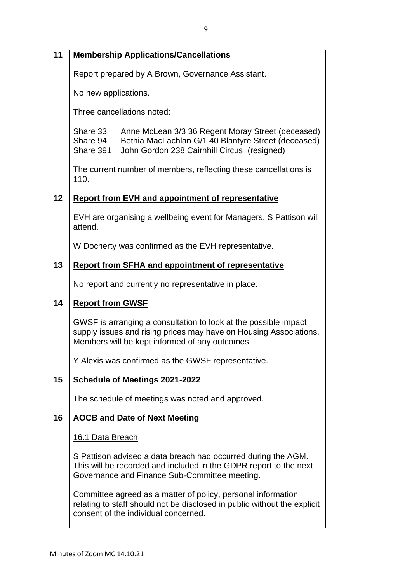### **11 Membership Applications/Cancellations**

Report prepared by A Brown, Governance Assistant.

No new applications.

Three cancellations noted:

Share 33 Anne McLean 3/3 36 Regent Moray Street (deceased) Share 94 Bethia MacLachlan G/1 40 Blantyre Street (deceased) Share 391 John Gordon 238 Cairnhill Circus (resigned)

The current number of members, reflecting these cancellations is 110.

### **12 Report from EVH and appointment of representative**

EVH are organising a wellbeing event for Managers. S Pattison will attend.

W Docherty was confirmed as the EVH representative.

### **13 Report from SFHA and appointment of representative**

No report and currently no representative in place.

### **14 Report from GWSF**

GWSF is arranging a consultation to look at the possible impact supply issues and rising prices may have on Housing Associations. Members will be kept informed of any outcomes.

Y Alexis was confirmed as the GWSF representative.

#### **15 Schedule of Meetings 2021-2022**

The schedule of meetings was noted and approved.

### **16 AOCB and Date of Next Meeting**

16.1 Data Breach

S Pattison advised a data breach had occurred during the AGM. This will be recorded and included in the GDPR report to the next Governance and Finance Sub-Committee meeting.

Committee agreed as a matter of policy, personal information relating to staff should not be disclosed in public without the explicit consent of the individual concerned.